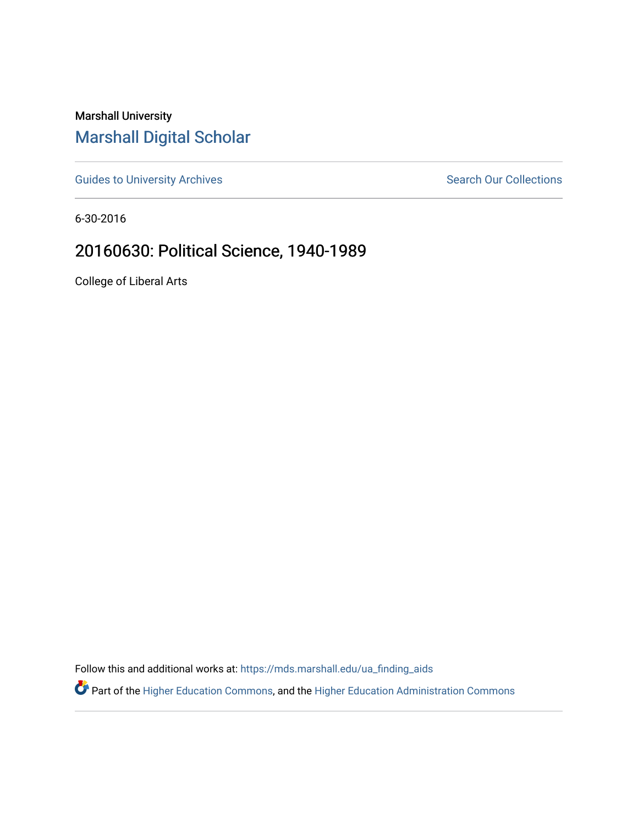Marshall University [Marshall Digital Scholar](https://mds.marshall.edu/)

[Guides to University Archives](https://mds.marshall.edu/ua_finding_aids) **Search Our Collections** Search Our Collections

6-30-2016

## 20160630: Political Science, 1940-1989

College of Liberal Arts

Follow this and additional works at: [https://mds.marshall.edu/ua\\_finding\\_aids](https://mds.marshall.edu/ua_finding_aids?utm_source=mds.marshall.edu%2Fua_finding_aids%2F57&utm_medium=PDF&utm_campaign=PDFCoverPages) 

Part of the [Higher Education Commons,](http://network.bepress.com/hgg/discipline/1245?utm_source=mds.marshall.edu%2Fua_finding_aids%2F57&utm_medium=PDF&utm_campaign=PDFCoverPages) and the [Higher Education Administration Commons](http://network.bepress.com/hgg/discipline/791?utm_source=mds.marshall.edu%2Fua_finding_aids%2F57&utm_medium=PDF&utm_campaign=PDFCoverPages)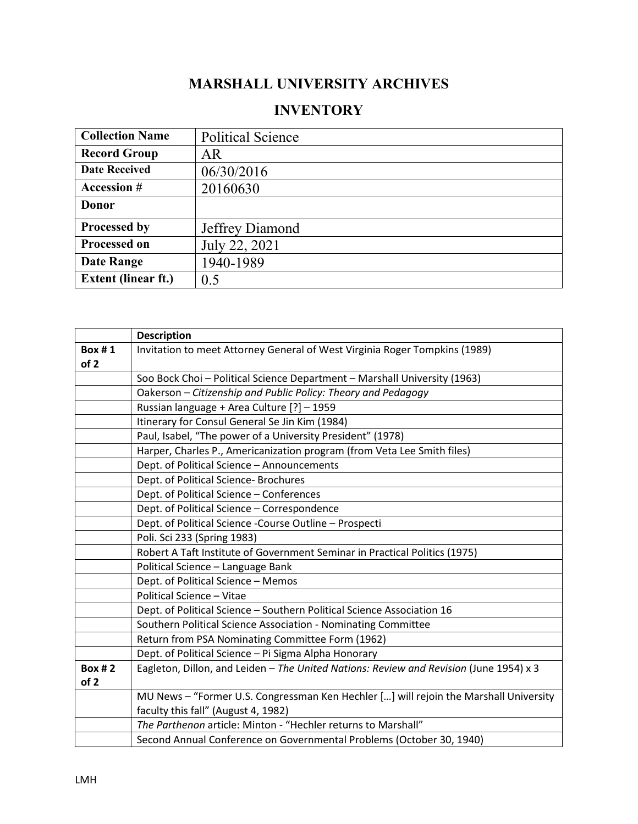## **MARSHALL UNIVERSITY ARCHIVES**

## **INVENTORY**

| <b>Collection Name</b>     | <b>Political Science</b> |
|----------------------------|--------------------------|
| <b>Record Group</b>        | AR.                      |
| <b>Date Received</b>       | 06/30/2016               |
| <b>Accession #</b>         | 20160630                 |
| Donor                      |                          |
| Processed by               | Jeffrey Diamond          |
| <b>Processed on</b>        | July 22, 2021            |
| <b>Date Range</b>          | 1940-1989                |
| <b>Extent (linear ft.)</b> | 0.5                      |

|               | <b>Description</b>                                                                     |
|---------------|----------------------------------------------------------------------------------------|
| Box#1         | Invitation to meet Attorney General of West Virginia Roger Tompkins (1989)             |
| of 2          |                                                                                        |
|               | Soo Bock Choi - Political Science Department - Marshall University (1963)              |
|               | Oakerson - Citizenship and Public Policy: Theory and Pedagogy                          |
|               | Russian language + Area Culture [?] - 1959                                             |
|               | Itinerary for Consul General Se Jin Kim (1984)                                         |
|               | Paul, Isabel, "The power of a University President" (1978)                             |
|               | Harper, Charles P., Americanization program (from Veta Lee Smith files)                |
|               | Dept. of Political Science - Announcements                                             |
|               | Dept. of Political Science- Brochures                                                  |
|               | Dept. of Political Science - Conferences                                               |
|               | Dept. of Political Science - Correspondence                                            |
|               | Dept. of Political Science - Course Outline - Prospecti                                |
|               | Poli. Sci 233 (Spring 1983)                                                            |
|               | Robert A Taft Institute of Government Seminar in Practical Politics (1975)             |
|               | Political Science - Language Bank                                                      |
|               | Dept. of Political Science - Memos                                                     |
|               | <b>Political Science - Vitae</b>                                                       |
|               | Dept. of Political Science - Southern Political Science Association 16                 |
|               | Southern Political Science Association - Nominating Committee                          |
|               | Return from PSA Nominating Committee Form (1962)                                       |
|               | Dept. of Political Science - Pi Sigma Alpha Honorary                                   |
| <b>Box #2</b> | Eagleton, Dillon, and Leiden - The United Nations: Review and Revision (June 1954) x 3 |
| of 2          |                                                                                        |
|               | MU News - "Former U.S. Congressman Ken Hechler [] will rejoin the Marshall University  |
|               | faculty this fall" (August 4, 1982)                                                    |
|               | The Parthenon article: Minton - "Hechler returns to Marshall"                          |
|               | Second Annual Conference on Governmental Problems (October 30, 1940)                   |